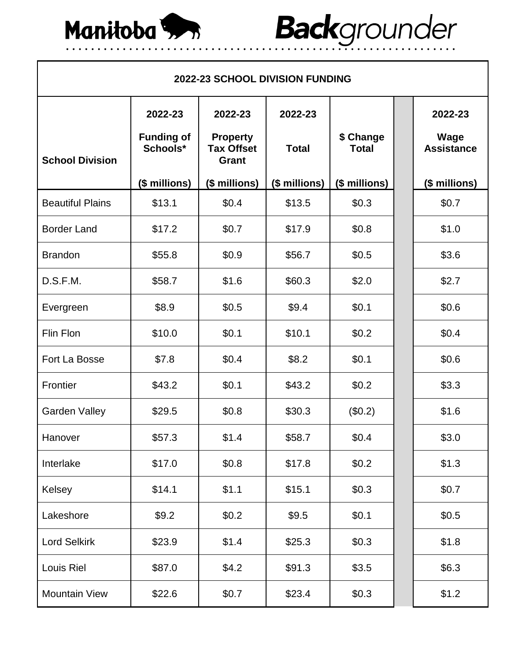

## Backgrounder

| <b>2022-23 SCHOOL DIVISION FUNDING</b> |                               |                                               |               |                           |  |                           |  |  |  |
|----------------------------------------|-------------------------------|-----------------------------------------------|---------------|---------------------------|--|---------------------------|--|--|--|
|                                        | 2022-23                       | 2022-23                                       | 2022-23       |                           |  | 2022-23                   |  |  |  |
| <b>School Division</b>                 | <b>Funding of</b><br>Schools* | <b>Property</b><br><b>Tax Offset</b><br>Grant | <b>Total</b>  | \$ Change<br><b>Total</b> |  | Wage<br><b>Assistance</b> |  |  |  |
|                                        | (\$ millions)                 | (\$ millions)                                 | (\$ millions) | (\$ millions)             |  | (\$ millions)             |  |  |  |
| <b>Beautiful Plains</b>                | \$13.1                        | \$0.4                                         | \$13.5        | \$0.3                     |  | \$0.7                     |  |  |  |
| <b>Border Land</b>                     | \$17.2                        | \$0.7                                         | \$17.9        | \$0.8                     |  | \$1.0                     |  |  |  |
| <b>Brandon</b>                         | \$55.8                        | \$0.9                                         | \$56.7        | \$0.5                     |  | \$3.6                     |  |  |  |
| D.S.F.M.                               | \$58.7                        | \$1.6                                         | \$60.3        | \$2.0                     |  | \$2.7                     |  |  |  |
| Evergreen                              | \$8.9                         | \$0.5                                         | \$9.4         | \$0.1                     |  | \$0.6                     |  |  |  |
| Flin Flon                              | \$10.0                        | \$0.1                                         | \$10.1        | \$0.2                     |  | \$0.4                     |  |  |  |
| Fort La Bosse                          | \$7.8                         | \$0.4                                         | \$8.2         | \$0.1                     |  | \$0.6\$                   |  |  |  |
| Frontier                               | \$43.2                        | \$0.1                                         | \$43.2        | \$0.2                     |  | \$3.3                     |  |  |  |
| <b>Garden Valley</b>                   | \$29.5                        | \$0.8                                         | \$30.3        | (\$0.2)                   |  | \$1.6                     |  |  |  |
| Hanover                                | \$57.3                        | \$1.4                                         | \$58.7        | \$0.4                     |  | \$3.0                     |  |  |  |
| Interlake                              | \$17.0                        | \$0.8\$                                       | \$17.8        | \$0.2\$                   |  | \$1.3                     |  |  |  |
| Kelsey                                 | \$14.1                        | \$1.1                                         | \$15.1        | \$0.3                     |  | \$0.7                     |  |  |  |
| Lakeshore                              | \$9.2                         | \$0.2\$                                       | \$9.5         | \$0.1                     |  | \$0.5                     |  |  |  |
| <b>Lord Selkirk</b>                    | \$23.9                        | \$1.4                                         | \$25.3        | \$0.3\$                   |  | \$1.8                     |  |  |  |
| Louis Riel                             | \$87.0                        | \$4.2                                         | \$91.3        | \$3.5                     |  | \$6.3\$                   |  |  |  |
| <b>Mountain View</b>                   | \$22.6                        | \$0.7                                         | \$23.4        | \$0.3\$                   |  | \$1.2                     |  |  |  |